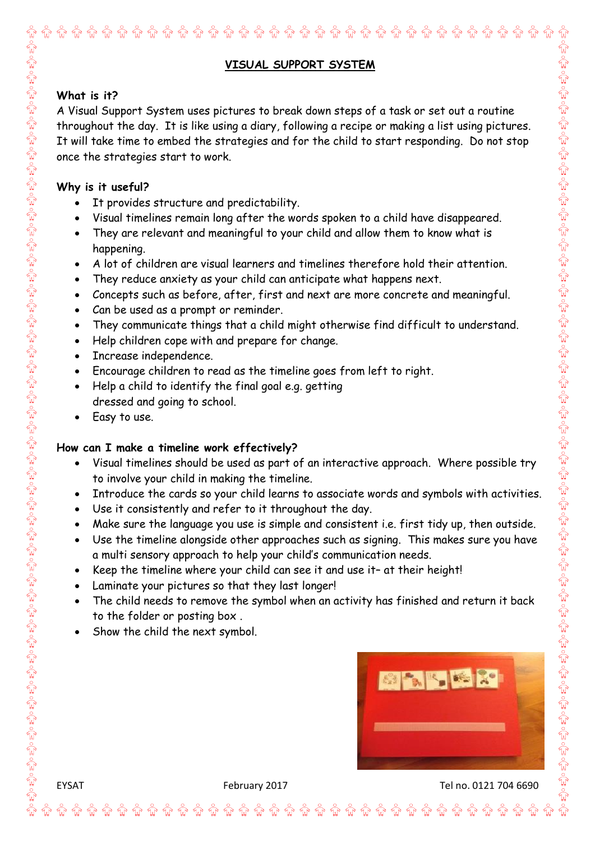## **VISUAL SUPPORT SYSTEM**

### **What is it?**

A Visual Support System uses pictures to break down steps of a task or set out a routine throughout the day. It is like using a diary, following a recipe or making a list using pictures. It will take time to embed the strategies and for the child to start responding. Do not stop once the strategies start to work.

### **Why is it useful?**

- It provides structure and predictability.
- Visual timelines remain long after the words spoken to a child have disappeared.
- They are relevant and meaningful to your child and allow them to know what is happening.
- A lot of children are visual learners and timelines therefore hold their attention.
- They reduce anxiety as your child can anticipate what happens next.
- Concepts such as before, after, first and next are more concrete and meaningful.
- Can be used as a prompt or reminder.
- They communicate things that a child might otherwise find difficult to understand.
- Help children cope with and prepare for change.
- Increase independence.
- Encourage children to read as the timeline goes from left to right.
- Help a child to identify the final goal e.g. getting dressed and going to school.
- Easy to use.

### **How can I make a timeline work effectively?**

- Visual timelines should be used as part of an interactive approach. Where possible try to involve your child in making the timeline.
- Introduce the cards so your child learns to associate words and symbols with activities.
- Use it consistently and refer to it throughout the day.
- Make sure the language you use is simple and consistent i.e. first tidy up, then outside.
- Use the timeline alongside other approaches such as signing. This makes sure you have a multi sensory approach to help your child's communication needs.
- Keep the timeline where your child can see it and use it- at their height!
- Laminate your pictures so that they last longer!
- The child needs to remove the symbol when an activity has finished and return it back to the folder or posting box .

**ਿੰ ਯੰ ਯੰ ਯੰ ਯੰ ਯੰ ਯੰ ਯੰ ਯੰ ਯੰ** <del>ਯ</del>ੰ ਯੰ

Show the child the next symbol.

۾ ۾ ۾ ۾ هيو هي



EYSAT February 2017 February 2017 February 2017 Felix Contract Tel no. 0121 704 6690

**îr îr îr îr îr** îr